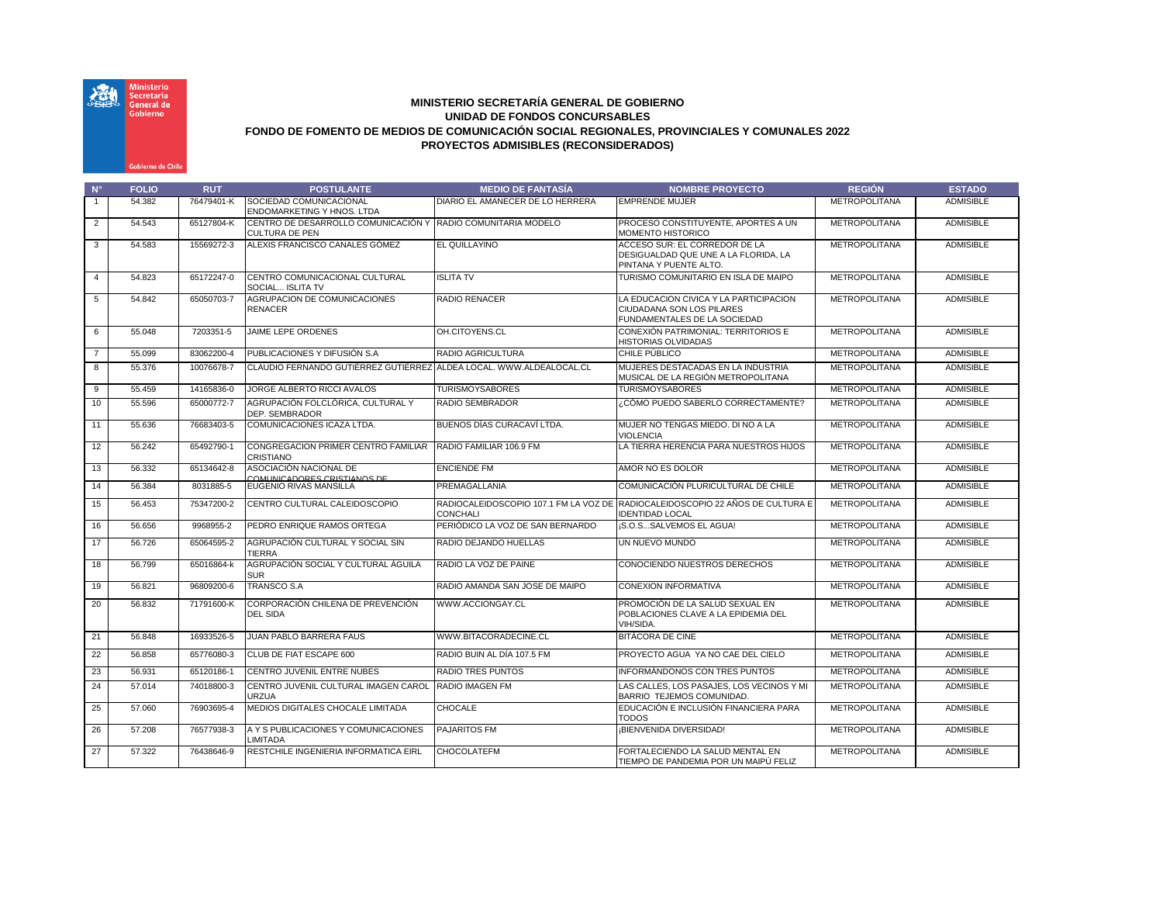

## **MINISTERIO SECRETARÍA GENERAL DE GOBIERNO UNIDAD DE FONDOS CONCURSABLES FONDO DE FOMENTO DE MEDIOS DE COMUNICACIÓN SOCIAL REGIONALES, PROVINCIALES Y COMUNALES 2022 PROYECTOS ADMISIBLES (RECONSIDERADOS)**

| $N^{\circ}$    | <b>FOLIO</b> | <b>RUT</b> | <b>POSTULANTE</b>                                                                     | <b>MEDIO DE FANTASÍA</b>         | <b>NOMBRE PROYECTO</b>                                                                                  | <b>REGIÓN</b>        | <b>ESTADO</b>    |
|----------------|--------------|------------|---------------------------------------------------------------------------------------|----------------------------------|---------------------------------------------------------------------------------------------------------|----------------------|------------------|
| $\overline{1}$ | 54.382       | 76479401-K | SOCIEDAD COMUNICACIONAL<br>ENDOMARKETING Y HNOS, LTDA                                 | DIARIO EL AMANECER DE LO HERRERA | <b>EMPRENDE MUJER</b>                                                                                   | <b>METROPOLITANA</b> | <b>ADMISIBLE</b> |
| $\overline{2}$ | 54.543       | 65127804-K | CENTRO DE DESARROLLO COMUNICACIÓN Y RADIO COMUNITARIA MODELO<br><b>CULTURA DE PEN</b> |                                  | PROCESO CONSTITUYENTE, APORTES A UN<br><b>MOMENTO HISTORICO</b>                                         | <b>METROPOLITANA</b> | <b>ADMISIBLE</b> |
| 3              | 54.583       | 15569272-3 | ALEXIS FRANCISCO CANALES GÓMEZ                                                        | <b>EL QUILLAYINO</b>             | ACCESO SUR: EL CORREDOR DE LA<br>DESIGUALDAD QUE UNE A LA FLORIDA, LA<br>PINTANA Y PUENTE ALTO.         | <b>METROPOLITANA</b> | <b>ADMISIBLE</b> |
| $\overline{4}$ | 54.823       | 65172247-0 | CENTRO COMUNICACIONAL CULTURAL<br>SOCIAL ISLITA TV                                    | <b>ISLITA TV</b>                 | TURISMO COMUNITARIO EN ISLA DE MAIPO                                                                    | <b>METROPOLITANA</b> | <b>ADMISIBLE</b> |
| 5              | 54.842       | 65050703-7 | AGRUPACION DE COMUNICACIONES<br><b>RENACER</b>                                        | RADIO RENACER                    | LA EDUCACION CIVICA Y LA PARTICIPACION<br>CIUDADANA SON LOS PILARES<br>FUNDAMENTALES DE LA SOCIEDAD     | <b>METROPOLITANA</b> | <b>ADMISIBLE</b> |
| 6              | 55.048       | 7203351-5  | JAIME LEPE ORDENES                                                                    | OH.CITOYENS.CL                   | CONEXIÓN PATRIMONIAL: TERRITORIOS E<br><b>HISTORIAS OLVIDADAS</b>                                       | <b>METROPOLITANA</b> | <b>ADMISIBLE</b> |
| $\overline{7}$ | 55.099       | 83062200-4 | PUBLICACIONES Y DIFUSIÓN S.A                                                          | RADIO AGRICULTURA                | CHILE PÚBLICO                                                                                           | <b>METROPOLITANA</b> | <b>ADMISIBLE</b> |
| 8              | 55,376       | 10076678-7 | CLAUDIO FERNANDO GUTIERREZ GUTIERREZ ALDEA LOCAL, WWW.ALDEALOCAL.CL                   |                                  | MUJERES DESTACADAS EN LA INDUSTRIA<br>MUSICAL DE LA REGIÓN METROPOLITANA                                | <b>METROPOLITANA</b> | <b>ADMISIBLE</b> |
| 9              | 55.459       | 14165836-0 | JORGE ALBERTO RICCI AVALOS                                                            | <b>TURISMOYSABORES</b>           | <b>TURISMOYSABORES</b>                                                                                  | <b>METROPOLITANA</b> | <b>ADMISIBLE</b> |
| 10             | 55.596       | 65000772-7 | AGRUPACIÓN FOLCLÓRICA. CULTURAL Y<br>DEP. SEMBRADOR                                   | RADIO SEMBRADOR                  | CÓMO PUEDO SABERLO CORRECTAMENTE?                                                                       | <b>METROPOLITANA</b> | <b>ADMISIBLE</b> |
| 11             | 55.636       | 76683403-5 | COMUNICACIONES ICAZA LTDA.                                                            | BUENOS DÍAS CURACAVÍ LTDA.       | MUJER NO TENGAS MIEDO. DI NO A LA<br><b>VIOLENCIA</b>                                                   | <b>METROPOLITANA</b> | <b>ADMISIBLE</b> |
| 12             | 56.242       | 65492790-1 | CONGREGACION PRIMER CENTRO FAMILIAR RADIO FAMILIAR 106.9 FM<br>CRISTIANO              |                                  | LA TIERRA HERENCIA PARA NUESTROS HIJOS                                                                  | <b>METROPOLITANA</b> | <b>ADMISIBLE</b> |
| 13             | 56.332       | 65134642-8 | ASOCIACIÓN NACIONAL DE<br>COMUNICADORES CRISTIANOS DE                                 | <b>ENCIENDE FM</b>               | AMOR NO ES DOLOR                                                                                        | <b>METROPOLITANA</b> | <b>ADMISIBLE</b> |
| 14             | 56.384       | 8031885-5  | EUGENIO RIVAS MANSILLA                                                                | PREMAGALLANIA                    | COMUNICACIÓN PLURICULTURAL DE CHILE                                                                     | <b>METROPOLITANA</b> | <b>ADMISIBLE</b> |
| 15             | 56.453       | 75347200-2 | CENTRO CULTURAL CALEIDOSCOPIO                                                         | <b>CONCHALI</b>                  | RADIOCALEIDOSCOPIO 107.1 FM LA VOZ DE RADIOCALEIDOSCOPIO 22 AÑOS DE CULTURA E<br><b>IDENTIDAD LOCAL</b> | <b>METROPOLITANA</b> | <b>ADMISIBLE</b> |
| 16             | 56.656       | 9968955-2  | PEDRO ENRIQUE RAMOS ORTEGA                                                            | PERIÓDICO LA VOZ DE SAN BERNARDO | iS.O.SSALVEMOS EL AGUA!                                                                                 | <b>METROPOLITANA</b> | <b>ADMISIBLE</b> |
| 17             | 56.726       | 65064595-2 | AGRUPACIÓN CULTURAL Y SOCIAL SIN<br><b>TIERRA</b>                                     | RADIO DEJANDO HUELLAS            | UN NUEVO MUNDO                                                                                          | <b>METROPOLITANA</b> | <b>ADMISIBLE</b> |
| 18             | 56.799       | 65016864-k | AGRUPACIÓN SOCIAL Y CULTURAL ÁGUILA<br><b>SUR</b>                                     | RADIO LA VOZ DE PAINE            | CONOCIENDO NUESTROS DERECHOS                                                                            | <b>METROPOLITANA</b> | <b>ADMISIBLE</b> |
| 19             | 56.821       | 96809200-6 | <b>TRANSCO S.A</b>                                                                    | RADIO AMANDA SAN JOSE DE MAIPO   | <b>CONEXION INFORMATIVA</b>                                                                             | <b>METROPOLITANA</b> | <b>ADMISIBLE</b> |
| 20             | 56.832       | 71791600-K | CORPORACIÓN CHILENA DE PREVENCIÓN<br>DEL SIDA                                         | WWW.ACCIONGAY.CL                 | PROMOCIÓN DE LA SALUD SEXUAL EN<br>POBLACIONES CLAVE A LA EPIDEMIA DEL<br>VIH/SIDA.                     | <b>METROPOLITANA</b> | <b>ADMISIBLE</b> |
| 21             | 56.848       | 16933526-5 | JUAN PABLO BARRERA FAUS                                                               | WWW.BITACORADECINE.CL            | <b>BITÁCORA DE CINE</b>                                                                                 | <b>METROPOLITANA</b> | <b>ADMISIBLE</b> |
| 22             | 56.858       | 65776080-3 | CLUB DE FIAT ESCAPE 600                                                               | RADIO BUIN AL DÍA 107.5 FM       | PROYECTO AGUA YA NO CAE DEL CIELO                                                                       | <b>METROPOLITANA</b> | <b>ADMISIBLE</b> |
| 23             | 56.931       | 65120186-1 | CENTRO JUVENIL ENTRE NUBES                                                            | <b>RADIO TRES PUNTOS</b>         | <b>INFORMÁNDONOS CON TRES PUNTOS</b>                                                                    | <b>METROPOLITANA</b> | <b>ADMISIBLE</b> |
| 24             | 57.014       | 74018800-3 | CENTRO JUVENIL CULTURAL IMAGEN CAROL RADIO IMAGEN FM<br>URZUA                         |                                  | LAS CALLES. LOS PASAJES. LOS VECINOS Y MI<br>BARRIO TEJEMOS COMUNIDAD.                                  | <b>METROPOLITANA</b> | <b>ADMISIBLE</b> |
| 25             | 57.060       | 76903695-4 | MEDIOS DIGITALES CHOCALE LIMITADA                                                     | <b>CHOCALE</b>                   | EDUCACIÓN E INCLUSIÓN FINANCIERA PARA<br><b>TODOS</b>                                                   | <b>METROPOLITANA</b> | <b>ADMISIBLE</b> |
| 26             | 57.208       | 76577938-3 | A Y S PUBLICACIONES Y COMUNICACIONES<br>LIMITADA                                      | <b>PAJARITOS FM</b>              | <b>BIENVENIDA DIVERSIDAD!</b>                                                                           | <b>METROPOLITANA</b> | <b>ADMISIBLE</b> |
| 27             | 57.322       | 76438646-9 | RESTCHILE INGENIERIA INFORMATICA EIRL                                                 | <b>CHOCOLATEFM</b>               | FORTALECIENDO LA SALUD MENTAL EN<br>TIEMPO DE PANDEMIA POR UN MAIPÚ FELIZ                               | <b>METROPOLITANA</b> | <b>ADMISIBLE</b> |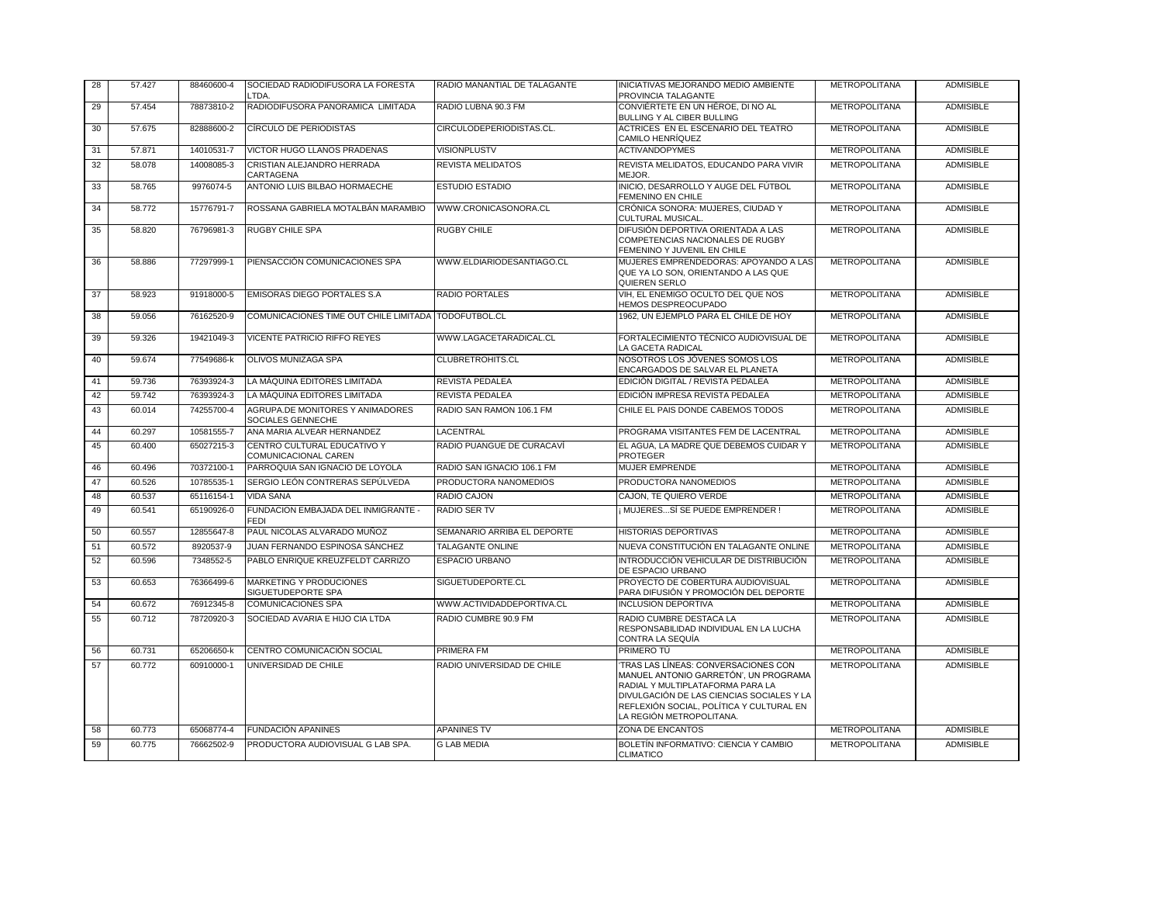| 28 | 57.427 | 88460600-4 | SOCIEDAD RADIODIFUSORA LA FORESTA<br>_TDA.            | RADIO MANANTIAL DE TALAGANTE | INICIATIVAS MEJORANDO MEDIO AMBIENTE<br>PROVINCIA TALAGANTE                                                                                                                                                                           | <b>METROPOLITANA</b> | <b>ADMISIBLE</b> |
|----|--------|------------|-------------------------------------------------------|------------------------------|---------------------------------------------------------------------------------------------------------------------------------------------------------------------------------------------------------------------------------------|----------------------|------------------|
| 29 | 57.454 | 78873810-2 | RADIODIFUSORA PANORAMICA LIMITADA                     | RADIO LUBNA 90.3 FM          | CONVIÉRTETE EN UN HÉROE. DI NO AL<br>BULLING Y AL CIBER BULLING                                                                                                                                                                       | <b>METROPOLITANA</b> | <b>ADMISIBLE</b> |
| 30 | 57.675 | 82888600-2 | CÍRCULO DE PERIODISTAS                                | CIRCULODEPERIODISTAS.CL.     | ACTRICES EN EL ESCENARIO DEL TEATRO<br>CAMILO HENRÍQUEZ                                                                                                                                                                               | <b>METROPOLITANA</b> | <b>ADMISIBLE</b> |
| 31 | 57.871 | 14010531-7 | VICTOR HUGO LLANOS PRADENAS                           | <b>VISIONPLUSTV</b>          | <b>ACTIVANDOPYMES</b>                                                                                                                                                                                                                 | <b>METROPOLITANA</b> | <b>ADMISIBLE</b> |
| 32 | 58.078 | 14008085-3 | CRISTIAN ALEJANDRO HERRADA<br>CARTAGENA               | REVISTA MELIDATOS            | REVISTA MELIDATOS, EDUCANDO PARA VIVIR<br>MEJOR.                                                                                                                                                                                      | <b>METROPOLITANA</b> | <b>ADMISIBLE</b> |
| 33 | 58.765 | 9976074-5  | ANTONIO LUIS BILBAO HORMAECHE                         | ESTUDIO ESTADIO              | INICIO. DESARROLLO Y AUGE DEL FÚTBOL<br>FEMENINO EN CHILE                                                                                                                                                                             | <b>METROPOLITANA</b> | <b>ADMISIBLE</b> |
| 34 | 58.772 | 15776791-7 | ROSSANA GABRIELA MOTALBÁN MARAMBIO                    | WWW.CRONICASONORA.CL         | CRÓNICA SONORA: MUJERES, CIUDAD Y<br>CULTURAL MUSICAL.                                                                                                                                                                                | <b>METROPOLITANA</b> | <b>ADMISIBLE</b> |
| 35 | 58.820 | 76796981-3 | <b>RUGBY CHILE SPA</b>                                | <b>RUGBY CHILE</b>           | DIFUSIÓN DEPORTIVA ORIENTADA A LAS<br>COMPETENCIAS NACIONALES DE RUGBY<br>FEMENINO Y JUVENIL EN CHILE                                                                                                                                 | <b>METROPOLITANA</b> | <b>ADMISIBLE</b> |
| 36 | 58.886 | 77297999-1 | PIENSACCIÓN COMUNICACIONES SPA                        | WWW.ELDIARIODESANTIAGO.CL    | MUJERES EMPRENDEDORAS: APOYANDO A LAS<br>QUE YA LO SON, ORIENTANDO A LAS QUE<br>QUIEREN SERLO                                                                                                                                         | <b>METROPOLITANA</b> | <b>ADMISIBLE</b> |
| 37 | 58.923 | 91918000-5 | EMISORAS DIEGO PORTALES S.A                           | RADIO PORTALES               | VIH, EL ENEMIGO OCULTO DEL QUE NOS<br><b>HEMOS DESPREOCUPADO</b>                                                                                                                                                                      | <b>METROPOLITANA</b> | <b>ADMISIBLE</b> |
| 38 | 59.056 | 76162520-9 | COMUNICACIONES TIME OUT CHILE LIMITADA TODOFUTBOL.CL  |                              | 1962. UN EJEMPLO PARA EL CHILE DE HOY                                                                                                                                                                                                 | <b>METROPOLITANA</b> | <b>ADMISIBLE</b> |
| 39 | 59.326 | 19421049-3 | VICENTE PATRICIO RIFFO REYES                          | WWW.LAGACETARADICAL.CL       | FORTALECIMIENTO TÉCNICO AUDIOVISUAL DE<br>LA GACETA RADICAL                                                                                                                                                                           | <b>METROPOLITANA</b> | <b>ADMISIBLE</b> |
| 40 | 59.674 | 77549686-k | OLIVOS MUNIZAGA SPA                                   | CLUBRETROHITS.CL             | NOSOTROS LOS JÓVENES SOMOS LOS<br>ENCARGADOS DE SALVAR EL PLANETA                                                                                                                                                                     | <b>METROPOLITANA</b> | <b>ADMISIBLE</b> |
| 41 | 59.736 | 76393924-3 | LA MÁQUINA EDITORES LIMITADA                          | REVISTA PEDALEA              | EDICIÓN DIGITAL / REVISTA PEDALEA                                                                                                                                                                                                     | <b>METROPOLITANA</b> | <b>ADMISIBLE</b> |
| 42 | 59.742 | 76393924-3 | LA MÁQUINA EDITORES LIMITADA                          | REVISTA PEDALEA              | EDICIÓN IMPRESA REVISTA PEDALEA                                                                                                                                                                                                       | <b>METROPOLITANA</b> | <b>ADMISIBLE</b> |
| 43 | 60.014 | 74255700-4 | AGRUPA.DE MONITORES Y ANIMADORES<br>SOCIALES GENNECHE | RADIO SAN RAMON 106.1 FM     | CHILE EL PAIS DONDE CABEMOS TODOS                                                                                                                                                                                                     | <b>METROPOLITANA</b> | <b>ADMISIBLE</b> |
| 44 | 60.297 | 10581555-7 | ANA MARIA ALVEAR HERNANDEZ                            | LACENTRAL                    | PROGRAMA VISITANTES FEM DE LACENTRAL                                                                                                                                                                                                  | <b>METROPOLITANA</b> | <b>ADMISIBLE</b> |
| 45 | 60.400 | 65027215-3 | CENTRO CULTURAL EDUCATIVO Y<br>COMUNICACIONAL CAREN   | RADIO PUANGUE DE CURACAVÍ    | EL AGUA, LA MADRE QUE DEBEMOS CUIDAR Y<br><b>PROTEGER</b>                                                                                                                                                                             | <b>METROPOLITANA</b> | <b>ADMISIBLE</b> |
| 46 | 60.496 | 70372100-1 | PARROQUIA SAN IGNACIO DE LOYOLA                       | RADIO SAN IGNACIO 106.1 FM   | MUJER EMPRENDE                                                                                                                                                                                                                        | <b>METROPOLITANA</b> | <b>ADMISIBLE</b> |
| 47 | 60.526 | 10785535-1 | SERGIO LEÓN CONTRERAS SEPÚLVEDA                       | PRODUCTORA NANOMEDIOS        | PRODUCTORA NANOMEDIOS                                                                                                                                                                                                                 | <b>METROPOLITANA</b> | <b>ADMISIBLE</b> |
| 48 | 60.537 | 65116154-1 | <b>VIDA SANA</b>                                      | RADIO CAJON                  | CAJON, TE QUIERO VERDE                                                                                                                                                                                                                | <b>METROPOLITANA</b> | <b>ADMISIBLE</b> |
| 49 | 60.541 | 65190926-0 | FUNDACION EMBAJADA DEL INMIGRANTE -<br>FEDI           | <b>RADIO SER TV</b>          | : MUJERESSÍ SE PUEDE EMPRENDER !                                                                                                                                                                                                      | <b>METROPOLITANA</b> | <b>ADMISIBLE</b> |
| 50 | 60.557 | 12855647-8 | PAUL NICOLAS ALVARADO MUÑOZ                           | SEMANARIO ARRIBA EL DEPORTE  | <b>HISTORIAS DEPORTIVAS</b>                                                                                                                                                                                                           | <b>METROPOLITANA</b> | <b>ADMISIBLE</b> |
| 51 | 60.572 | 8920537-9  | JUAN FERNANDO ESPINOSA SÁNCHEZ                        | TALAGANTE ONLINE             | NUEVA CONSTITUCIÓN EN TALAGANTE ONLINE                                                                                                                                                                                                | <b>METROPOLITANA</b> | <b>ADMISIBLE</b> |
| 52 | 60.596 | 7348552-5  | PABLO ENRIQUE KREUZFELDT CARRIZO                      | <b>ESPACIO URBANO</b>        | INTRODUCCIÓN VEHICULAR DE DISTRIBUCIÓN<br>DE ESPACIO URBANO                                                                                                                                                                           | <b>METROPOLITANA</b> | <b>ADMISIBLE</b> |
| 53 | 60.653 | 76366499-6 | MARKETING Y PRODUCIONES<br>SIGUETUDEPORTE SPA         | SIGUETUDEPORTE.CL            | PROYECTO DE COBERTURA AUDIOVISUAL<br>PARA DIFUSIÓN Y PROMOCIÓN DEL DEPORTE                                                                                                                                                            | <b>METROPOLITANA</b> | <b>ADMISIBLE</b> |
| 54 | 60.672 | 76912345-8 | <b>COMUNICACIONES SPA</b>                             | WWW.ACTIVIDADDEPORTIVA.CL    | <b>INCLUSION DEPORTIVA</b>                                                                                                                                                                                                            | <b>METROPOLITANA</b> | <b>ADMISIBLE</b> |
| 55 | 60.712 | 78720920-3 | SOCIEDAD AVARIA E HIJO CIA LTDA                       | RADIO CUMBRE 90.9 FM         | RADIO CUMBRE DESTACA LA<br>RESPONSABILIDAD INDIVIDUAL EN LA LUCHA<br>CONTRA LA SEQUÍA                                                                                                                                                 | <b>METROPOLITANA</b> | <b>ADMISIBLE</b> |
| 56 | 60.731 | 65206650-k | CENTRO COMUNICACIÓN SOCIAL                            | PRIMERA FM                   | PRIMERO TÚ                                                                                                                                                                                                                            | <b>METROPOLITANA</b> | <b>ADMISIBLE</b> |
| 57 | 60.772 | 60910000-1 | UNIVERSIDAD DE CHILE                                  | RADIO UNIVERSIDAD DE CHILE   | TRAS LAS LÍNEAS: CONVERSACIONES CON<br>MANUEL ANTONIO GARRETÓN', UN PROGRAMA<br>RADIAL Y MULTIPLATAFORMA PARA LA<br>DIVULGACIÓN DE LAS CIENCIAS SOCIALES Y LA<br>REFLEXIÓN SOCIAL, POLÍTICA Y CULTURAL EN<br>LA REGIÓN METROPOLITANA. | <b>METROPOLITANA</b> | <b>ADMISIBLE</b> |
| 58 | 60.773 | 65068774-4 | <b>FUNDACIÓN APANINES</b>                             | <b>APANINES TV</b>           | ZONA DE ENCANTOS                                                                                                                                                                                                                      | <b>METROPOLITANA</b> | <b>ADMISIBLE</b> |
| 59 | 60.775 | 76662502-9 | PRODUCTORA AUDIOVISUAL G LAB SPA.                     | G LAB MEDIA                  | BOLETÍN INFORMATIVO: CIENCIA Y CAMBIO<br><b>CLIMATICO</b>                                                                                                                                                                             | <b>METROPOLITANA</b> | <b>ADMISIBLE</b> |